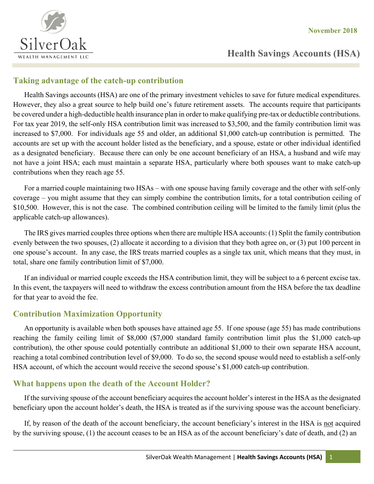

# **Health Savings Accounts (HSA)**

#### **Taking advantage of the catch-up contribution**

Health Savings accounts (HSA) are one of the primary investment vehicles to save for future medical expenditures. However, they also a great source to help build one's future retirement assets. The accounts require that participants be covered under a high-deductible health insurance plan in order to make qualifying pre-tax or deductible contributions. For tax year 2019, the self-only HSA contribution limit was increased to \$3,500, and the family contribution limit was increased to \$7,000. For individuals age 55 and older, an additional \$1,000 catch-up contribution is permitted. The accounts are set up with the account holder listed as the beneficiary, and a spouse, estate or other individual identified as a designated beneficiary. Because there can only be one account beneficiary of an HSA, a husband and wife may not have a joint HSA; each must maintain a separate HSA, particularly where both spouses want to make catch-up contributions when they reach age 55.

For a married couple maintaining two HSAs – with one spouse having family coverage and the other with self-only coverage – you might assume that they can simply combine the contribution limits, for a total contribution ceiling of \$10,500. However, this is not the case. The combined contribution ceiling will be limited to the family limit (plus the applicable catch-up allowances).

The IRS gives married couples three options when there are multiple HSA accounts: (1) Split the family contribution evenly between the two spouses, (2) allocate it according to a division that they both agree on, or (3) put 100 percent in one spouse's account. In any case, the IRS treats married couples as a single tax unit, which means that they must, in total, share one family contribution limit of \$7,000.

If an individual or married couple exceeds the HSA contribution limit, they will be subject to a 6 percent excise tax. In this event, the taxpayers will need to withdraw the excess contribution amount from the HSA before the tax deadline for that year to avoid the fee.

### **Contribution Maximization Opportunity**

An opportunity is available when both spouses have attained age 55. If one spouse (age 55) has made contributions reaching the family ceiling limit of \$8,000 (\$7,000 standard family contribution limit plus the \$1,000 catch-up contribution), the other spouse could potentially contribute an additional \$1,000 to their own separate HSA account, reaching a total combined contribution level of \$9,000. To do so, the second spouse would need to establish a self-only HSA account, of which the account would receive the second spouse's \$1,000 catch-up contribution.

# **What happens upon the death of the Account Holder?**

If the surviving spouse of the account beneficiary acquires the account holder's interest in the HSA as the designated beneficiary upon the account holder's death, the HSA is treated as if the surviving spouse was the account beneficiary.

If, by reason of the death of the account beneficiary, the account beneficiary's interest in the HSA is not acquired by the surviving spouse, (1) the account ceases to be an HSA as of the account beneficiary's date of death, and (2) an